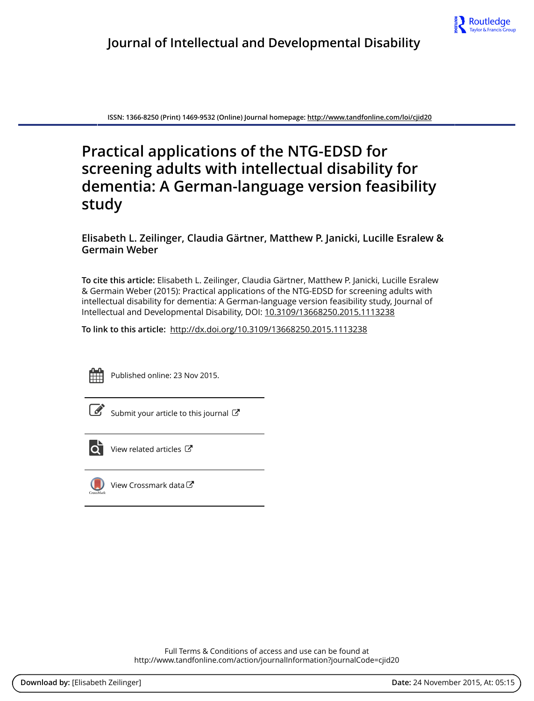

**ISSN: 1366-8250 (Print) 1469-9532 (Online) Journal homepage:<http://www.tandfonline.com/loi/cjid20>**

# **Practical applications of the NTG-EDSD for screening adults with intellectual disability for dementia: A German-language version feasibility study**

**Elisabeth L. Zeilinger, Claudia Gärtner, Matthew P. Janicki, Lucille Esralew & Germain Weber**

**To cite this article:** Elisabeth L. Zeilinger, Claudia Gärtner, Matthew P. Janicki, Lucille Esralew & Germain Weber (2015): Practical applications of the NTG-EDSD for screening adults with intellectual disability for dementia: A German-language version feasibility study, Journal of Intellectual and Developmental Disability, DOI: [10.3109/13668250.2015.1113238](http://www.tandfonline.com/action/showCitFormats?doi=10.3109/13668250.2015.1113238)

**To link to this article:** <http://dx.doi.org/10.3109/13668250.2015.1113238>



Published online: 23 Nov 2015.

[Submit your article to this journal](http://www.tandfonline.com/action/authorSubmission?journalCode=cjid20&page=instructions)  $\mathbb{Z}$ 



 $\overrightarrow{Q}$  [View related articles](http://www.tandfonline.com/doi/mlt/10.3109/13668250.2015.1113238)  $\overrightarrow{C}$ 



 $\bigcirc$  [View Crossmark data](http://crossmark.crossref.org/dialog/?doi=10.3109/13668250.2015.1113238&domain=pdf&date_stamp=2015-11-23) $\mathbb{Z}$ 

Full Terms & Conditions of access and use can be found at <http://www.tandfonline.com/action/journalInformation?journalCode=cjid20>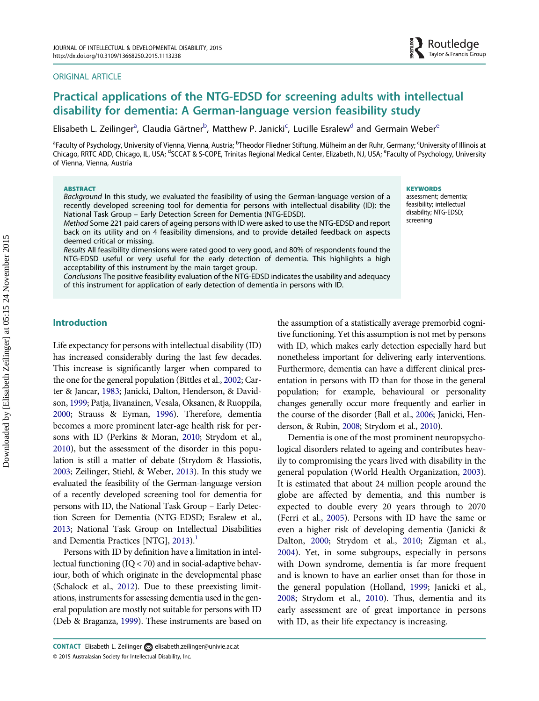#### <span id="page-1-0"></span>ORIGINAL ARTICLE



# Practical applications of the NTG-EDSD for screening adults with intellectual disability for dementia: A German-language version feasibility study

Elisabeth L. Zeilinger<sup>a</sup>, Claudia Gärtner<sup>b</sup>, Matthew P. Janicki<sup>c</sup>, Lucille Esralew<sup>d</sup> and Germain Weber<sup>e</sup>

<sup>a</sup>Faculty of Psychology, University of Vienna, Vienna, Austria; <sup>b</sup>Theodor Fliedner Stiftung, Mülheim an der Ruhr, Germany; <sup>c</sup>University of Illinois at Chicago, RRTC ADD, Chicago, IL, USA; <sup>d</sup>SCCAT & S-COPE, Trinitas Regional Medical Center, Elizabeth, NJ, USA; <sup>e</sup>Faculty of Psychology, University of Vienna, Vienna, Austria

#### **ABSTRACT**

Background In this study, we evaluated the feasibility of using the German-language version of a recently developed screening tool for dementia for persons with intellectual disability (ID): the National Task Group – Early Detection Screen for Dementia (NTG-EDSD).

Method Some 221 paid carers of ageing persons with ID were asked to use the NTG-EDSD and report back on its utility and on 4 feasibility dimensions, and to provide detailed feedback on aspects deemed critical or missing.

Results All feasibility dimensions were rated good to very good, and 80% of respondents found the NTG-EDSD useful or very useful for the early detection of dementia. This highlights a high acceptability of this instrument by the main target group.

Conclusions The positive feasibility evaluation of the NTG-EDSD indicates the usability and adequacy of this instrument for application of early detection of dementia in persons with ID.

#### **KEYWORDS**

assessment; dementia; feasibility; intellectual disability; NTG-EDSD; screening

# Introduction

Life expectancy for persons with intellectual disability (ID) has increased considerably during the last few decades. This increase is significantly larger when compared to the one for the general population (Bittles et al., [2002;](#page-7-0) Carter & Jancar, [1983;](#page-7-0) Janicki, Dalton, Henderson, & Davidson, [1999](#page-8-0); Patja, Iivanainen, Vesala, Oksanen, & Ruoppila, [2000;](#page-8-0) Strauss & Eyman, [1996](#page-8-0)). Therefore, dementia becomes a more prominent later-age health risk for persons with ID (Perkins & Moran, [2010;](#page-8-0) Strydom et al., [2010\)](#page-8-0), but the assessment of the disorder in this population is still a matter of debate (Strydom & Hassiotis, [2003;](#page-8-0) Zeilinger, Stiehl, & Weber, [2013](#page-8-0)). In this study we evaluated the feasibility of the German-language version of a recently developed screening tool for dementia for persons with ID, the National Task Group – Early Detection Screen for Dementia (NTG-EDSD; Esralew et al., [2013;](#page-7-0) National Task Group on Intellectual Disabilities and Dementia Practices  $[NTG]$ , [2013](#page-8-0)).<sup>1</sup>

Persons with ID by definition have a limitation in intellectual functioning (IQ < 70) and in social-adaptive behaviour, both of which originate in the developmental phase (Schalock et al., [2012](#page-8-0)). Due to these preexisting limitations, instruments for assessing dementia used in the general population are mostly not suitable for persons with ID (Deb & Braganza, [1999](#page-7-0)). These instruments are based on the assumption of a statistically average premorbid cognitive functioning. Yet this assumption is not met by persons with ID, which makes early detection especially hard but nonetheless important for delivering early interventions. Furthermore, dementia can have a different clinical presentation in persons with ID than for those in the general population; for example, behavioural or personality changes generally occur more frequently and earlier in the course of the disorder (Ball et al., [2006;](#page-7-0) Janicki, Henderson, & Rubin, [2008;](#page-8-0) Strydom et al., [2010\)](#page-8-0).

Dementia is one of the most prominent neuropsychological disorders related to ageing and contributes heavily to compromising the years lived with disability in the general population (World Health Organization, [2003\)](#page-8-0). It is estimated that about 24 million people around the globe are affected by dementia, and this number is expected to double every 20 years through to 2070 (Ferri et al., [2005](#page-7-0)). Persons with ID have the same or even a higher risk of developing dementia (Janicki & Dalton, [2000;](#page-8-0) Strydom et al., [2010;](#page-8-0) Zigman et al., [2004\)](#page-8-0). Yet, in some subgroups, especially in persons with Down syndrome, dementia is far more frequent and is known to have an earlier onset than for those in the general population (Holland, [1999;](#page-8-0) Janicki et al., [2008;](#page-8-0) Strydom et al., [2010\)](#page-8-0). Thus, dementia and its early assessment are of great importance in persons with ID, as their life expectancy is increasing.

<sup>© 2015</sup> Australasian Society for Intellectual Disability, Inc. CONTACT Elisabeth L. Zeilinger [elisabeth.zeilinger@univie.ac.at](mailto:elisabeth.zeilinger@univie.ac.at)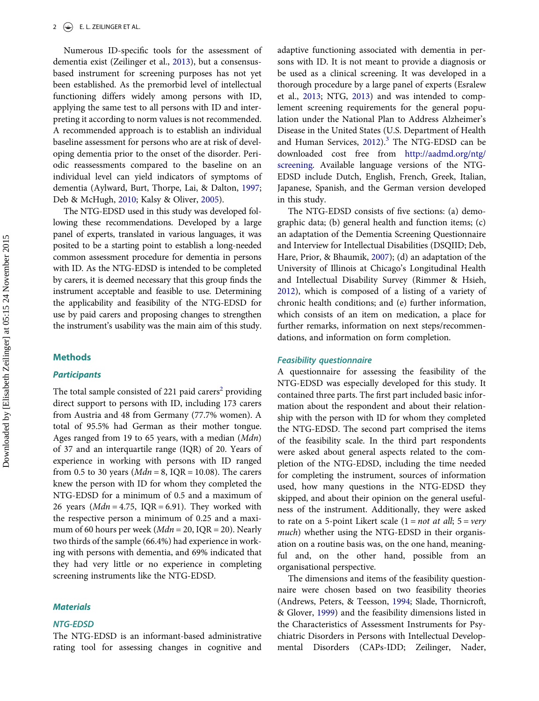<span id="page-2-0"></span>Numerous ID-specific tools for the assessment of dementia exist (Zeilinger et al., [2013](#page-8-0)), but a consensusbased instrument for screening purposes has not yet been established. As the premorbid level of intellectual functioning differs widely among persons with ID, applying the same test to all persons with ID and interpreting it according to norm values is not recommended. A recommended approach is to establish an individual baseline assessment for persons who are at risk of developing dementia prior to the onset of the disorder. Periodic reassessments compared to the baseline on an individual level can yield indicators of symptoms of dementia (Aylward, Burt, Thorpe, Lai, & Dalton, [1997](#page-7-0); Deb & McHugh, [2010;](#page-7-0) Kalsy & Oliver, [2005\)](#page-8-0).

The NTG-EDSD used in this study was developed following these recommendations. Developed by a large panel of experts, translated in various languages, it was posited to be a starting point to establish a long-needed common assessment procedure for dementia in persons with ID. As the NTG-EDSD is intended to be completed by carers, it is deemed necessary that this group finds the instrument acceptable and feasible to use. Determining the applicability and feasibility of the NTG-EDSD for use by paid carers and proposing changes to strengthen the instrument's usability was the main aim of this study.

#### Methods

#### **Participants**

The total sample consisted of [2](#page-7-0)21 paid carers<sup>2</sup> providing direct support to persons with ID, including 173 carers from Austria and 48 from Germany (77.7% women). A total of 95.5% had German as their mother tongue. Ages ranged from 19 to 65 years, with a median (*Mdn*) of 37 and an interquartile range (IQR) of 20. Years of experience in working with persons with ID ranged from 0.5 to 30 years ( $Mdn = 8$ , IQR = 10.08). The carers knew the person with ID for whom they completed the NTG-EDSD for a minimum of 0.5 and a maximum of 26 years ( $Mdn = 4.75$ , IQR = 6.91). They worked with the respective person a minimum of 0.25 and a maximum of 60 hours per week ( $Mdn = 20$ , IQR = 20). Nearly two thirds of the sample (66.4%) had experience in working with persons with dementia, and 69% indicated that they had very little or no experience in completing screening instruments like the NTG-EDSD.

### **Materials**

#### NTG-EDSD

The NTG-EDSD is an informant-based administrative rating tool for assessing changes in cognitive and

adaptive functioning associated with dementia in persons with ID. It is not meant to provide a diagnosis or be used as a clinical screening. It was developed in a thorough procedure by a large panel of experts (Esralew et al., [2013;](#page-7-0) NTG, [2013](#page-8-0)) and was intended to complement screening requirements for the general population under the National Plan to Address Alzheimer's Disease in the United States (U.S. Department of Health and Human Services,  $2012$ ).<sup>[3](#page-7-0)</sup> The NTG-EDSD can be downloaded cost free from [http://aadmd.org/ntg/](http://aadmd.org/ntg/screening) [screening](http://aadmd.org/ntg/screening). Available language versions of the NTG-EDSD include Dutch, English, French, Greek, Italian, Japanese, Spanish, and the German version developed in this study.

The NTG-EDSD consists of five sections: (a) demographic data; (b) general health and function items; (c) an adaptation of the Dementia Screening Questionnaire and Interview for Intellectual Disabilities (DSQIID; Deb, Hare, Prior, & Bhaumik, [2007](#page-7-0)); (d) an adaptation of the University of Illinois at Chicago's Longitudinal Health and Intellectual Disability Survey (Rimmer & Hsieh, [2012\)](#page-8-0), which is composed of a listing of a variety of chronic health conditions; and (e) further information, which consists of an item on medication, a place for further remarks, information on next steps/recommendations, and information on form completion.

#### Feasibility questionnaire

A questionnaire for assessing the feasibility of the NTG-EDSD was especially developed for this study. It contained three parts. The first part included basic information about the respondent and about their relationship with the person with ID for whom they completed the NTG-EDSD. The second part comprised the items of the feasibility scale. In the third part respondents were asked about general aspects related to the completion of the NTG-EDSD, including the time needed for completing the instrument, sources of information used, how many questions in the NTG-EDSD they skipped, and about their opinion on the general usefulness of the instrument. Additionally, they were asked to rate on a 5-point Likert scale  $(1 = not at all; 5 = very$ much) whether using the NTG-EDSD in their organisation on a routine basis was, on the one hand, meaningful and, on the other hand, possible from an organisational perspective.

The dimensions and items of the feasibility questionnaire were chosen based on two feasibility theories (Andrews, Peters, & Teesson, [1994;](#page-7-0) Slade, Thornicroft, & Glover, [1999](#page-8-0)) and the feasibility dimensions listed in the Characteristics of Assessment Instruments for Psychiatric Disorders in Persons with Intellectual Developmental Disorders (CAPs-IDD; Zeilinger, Nader,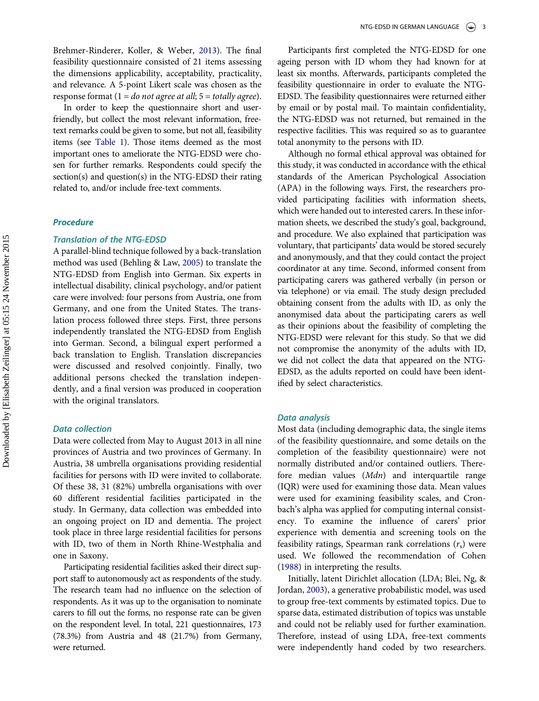<span id="page-3-0"></span>In order to keep the questionnaire short and userfriendly, but collect the most relevant information, freetext remarks could be given to some, but not all, feasibility items (see [Table 1](#page-4-0)). Those items deemed as the most important ones to ameliorate the NTG-EDSD were chosen for further remarks. Respondents could specify the section(s) and question(s) in the NTG-EDSD their rating related to, and/or include free-text comments.

## Procedure

#### Translation of the NTG-EDSD

A parallel-blind technique followed by a back-translation method was used (Behling & Law, [2005](#page-7-0)) to translate the NTG-EDSD from English into German. Six experts in intellectual disability, clinical psychology, and/or patient care were involved: four persons from Austria, one from Germany, and one from the United States. The translation process followed three steps. First, three persons independently translated the NTG-EDSD from English into German. Second, a bilingual expert performed a back translation to English. Translation discrepancies were discussed and resolved conjointly. Finally, two additional persons checked the translation independently, and a final version was produced in cooperation with the original translators.

#### Data collection

Data were collected from May to August 2013 in all nine provinces of Austria and two provinces of Germany. In Austria, 38 umbrella organisations providing residential facilities for persons with ID were invited to collaborate. Of these 38, 31 (82%) umbrella organisations with over 60 different residential facilities participated in the study. In Germany, data collection was embedded into an ongoing project on ID and dementia. The project took place in three large residential facilities for persons with ID, two of them in North Rhine-Westphalia and one in Saxony.

Participating residential facilities asked their direct support staff to autonomously act as respondents of the study. The research team had no influence on the selection of respondents. As it was up to the organisation to nominate carers to fill out the forms, no response rate can be given on the respondent level. In total, 221 questionnaires, 173 (78.3%) from Austria and 48 (21.7%) from Germany, were returned.

Participants first completed the NTG-EDSD for one ageing person with ID whom they had known for at least six months. Afterwards, participants completed the feasibility questionnaire in order to evaluate the NTG-EDSD. The feasibility questionnaires were returned either by email or by postal mail. To maintain confidentiality, the NTG-EDSD was not returned, but remained in the respective facilities. This was required so as to guarantee total anonymity to the persons with ID.

Although no formal ethical approval was obtained for this study, it was conducted in accordance with the ethical standards of the American Psychological Association (APA) in the following ways. First, the researchers provided participating facilities with information sheets, which were handed out to interested carers. In these information sheets, we described the study's goal, background, and procedure. We also explained that participation was voluntary, that participants' data would be stored securely and anonymously, and that they could contact the project coordinator at any time. Second, informed consent from participating carers was gathered verbally (in person or via telephone) or via email. The study design precluded obtaining consent from the adults with ID, as only the anonymised data about the participating carers as well as their opinions about the feasibility of completing the NTG-EDSD were relevant for this study. So that we did not compromise the anonymity of the adults with ID, we did not collect the data that appeared on the NTG-EDSD, as the adults reported on could have been identified by select characteristics.

#### Data analysis

Most data (including demographic data, the single items of the feasibility questionnaire, and some details on the completion of the feasibility questionnaire) were not normally distributed and/or contained outliers. Therefore median values (Mdn) and interquartile range (IQR) were used for examining those data. Mean values were used for examining feasibility scales, and Cronbach's alpha was applied for computing internal consistency. To examine the influence of carers' prior experience with dementia and screening tools on the feasibility ratings, Spearman rank correlations  $(r<sub>s</sub>)$  were used. We followed the recommendation of Cohen [\(1988](#page-7-0)) in interpreting the results.

Initially, latent Dirichlet allocation (LDA; Blei, Ng, & Jordan, [2003\)](#page-7-0), a generative probabilistic model, was used to group free-text comments by estimated topics. Due to sparse data, estimated distribution of topics was unstable and could not be reliably used for further examination. Therefore, instead of using LDA, free-text comments were independently hand coded by two researchers.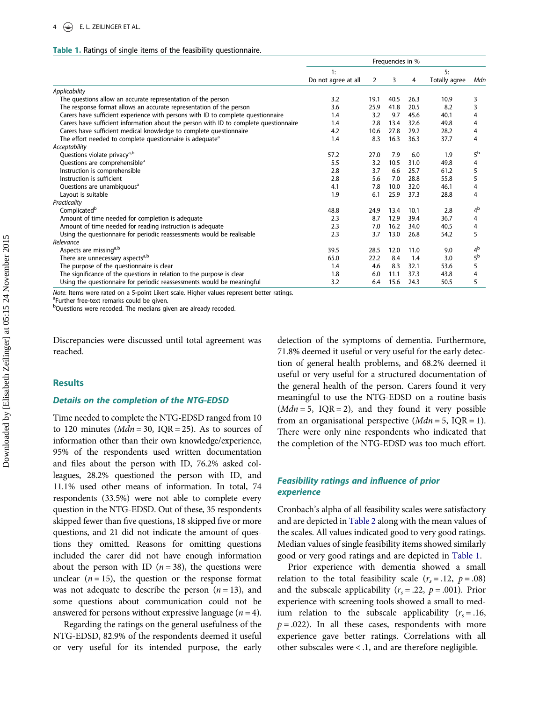#### <span id="page-4-0"></span>Table 1. Ratings of single items of the feasibility questionnaire.

|                                                                                       | Frequencies in %    |      |      |      |               |                |
|---------------------------------------------------------------------------------------|---------------------|------|------|------|---------------|----------------|
|                                                                                       | 1:                  |      |      |      | 5:            |                |
|                                                                                       | Do not agree at all | 2    | 3    | 4    | Totally agree | Mdn            |
| Applicability                                                                         |                     |      |      |      |               |                |
| The questions allow an accurate representation of the person                          | 3.2                 | 19.1 | 40.5 | 26.3 | 10.9          | 3              |
| The response format allows an accurate representation of the person                   | 3.6                 | 25.9 | 41.8 | 20.5 | 8.2           | 3              |
| Carers have sufficient experience with persons with ID to complete questionnaire      | 1.4                 | 3.2  | 9.7  | 45.6 | 40.1          | 4              |
| Carers have sufficient information about the person with ID to complete questionnaire | 1.4                 | 2.8  | 13.4 | 32.6 | 49.8          | 4              |
| Carers have sufficient medical knowledge to complete questionnaire                    | 4.2                 | 10.6 | 27.8 | 29.2 | 28.2          | 4              |
| The effort needed to complete questionnaire is adequate <sup>a</sup>                  | 1.4                 | 8.3  | 16.3 | 36.3 | 37.7          | 4              |
| Acceptability                                                                         |                     |      |      |      |               |                |
| Questions violate privacy <sup>a,b</sup>                                              | 57.2                | 27.0 | 7.9  | 6.0  | 1.9           | 5 <sup>b</sup> |
| Questions are comprehensible <sup>a</sup>                                             | 5.5                 | 3.2  | 10.5 | 31.0 | 49.8          | 4              |
| Instruction is comprehensible                                                         | 2.8                 | 3.7  | 6.6  | 25.7 | 61.2          | 5              |
| Instruction is sufficient                                                             | 2.8                 | 5.6  | 7.0  | 28.8 | 55.8          | 5              |
| Questions are unambiguous <sup>a</sup>                                                | 4.1                 | 7.8  | 10.0 | 32.0 | 46.1          | 4              |
| Layout is suitable                                                                    | 1.9                 | 6.1  | 25.9 | 37.3 | 28.8          | 4              |
| Practicality                                                                          |                     |      |      |      |               |                |
| Complicated <sup>b</sup>                                                              | 48.8                | 24.9 | 13.4 | 10.1 | 2.8           | 4 <sup>b</sup> |
| Amount of time needed for completion is adequate                                      | 2.3                 | 8.7  | 12.9 | 39.4 | 36.7          | 4              |
| Amount of time needed for reading instruction is adequate                             | 2.3                 | 7.0  | 16.2 | 34.0 | 40.5          | 4              |
| Using the questionnaire for periodic reassessments would be realisable                | 2.3                 | 3.7  | 13.0 | 26.8 | 54.2          | 5              |
| Relevance                                                                             |                     |      |      |      |               |                |
| Aspects are missinga,b                                                                | 39.5                | 28.5 | 12.0 | 11.0 | 9.0           | 4 <sup>b</sup> |
| There are unnecessary aspects <sup>a,b</sup>                                          | 65.0                | 22.2 | 8.4  | 1.4  | 3.0           | 5 <sup>b</sup> |
| The purpose of the questionnaire is clear                                             | 1.4                 | 4.6  | 8.3  | 32.1 | 53.6          | 5              |
| The significance of the questions in relation to the purpose is clear                 | 1.8                 | 6.0  | 11.1 | 37.3 | 43.8          | 4              |
| Using the questionnaire for periodic reassessments would be meaningful                | 3.2                 | 6.4  | 15.6 | 24.3 | 50.5          | 5              |

Note. Items were rated on a 5-point Likert scale. Higher values represent better ratings.

<sup>a</sup>Further free-text remarks could be given.

<sup>b</sup>Questions were recoded. The medians given are already recoded.

Discrepancies were discussed until total agreement was reached.

#### Results

#### Details on the completion of the NTG-EDSD

Time needed to complete the NTG-EDSD ranged from 10 to 120 minutes ( $Mdn = 30$ , IQR = 25). As to sources of information other than their own knowledge/experience, 95% of the respondents used written documentation and files about the person with ID, 76.2% asked colleagues, 28.2% questioned the person with ID, and 11.1% used other means of information. In total, 74 respondents (33.5%) were not able to complete every question in the NTG-EDSD. Out of these, 35 respondents skipped fewer than five questions, 18 skipped five or more questions, and 21 did not indicate the amount of questions they omitted. Reasons for omitting questions included the carer did not have enough information about the person with ID ( $n = 38$ ), the questions were unclear  $(n = 15)$ , the question or the response format was not adequate to describe the person  $(n = 13)$ , and some questions about communication could not be answered for persons without expressive language  $(n = 4)$ .

Regarding the ratings on the general usefulness of the NTG-EDSD, 82.9% of the respondents deemed it useful or very useful for its intended purpose, the early detection of the symptoms of dementia. Furthermore, 71.8% deemed it useful or very useful for the early detection of general health problems, and 68.2% deemed it useful or very useful for a structured documentation of the general health of the person. Carers found it very meaningful to use the NTG-EDSD on a routine basis  $(Mdn = 5, IQR = 2)$ , and they found it very possible from an organisational perspective  $(Mdn = 5, IQR = 1)$ . There were only nine respondents who indicated that the completion of the NTG-EDSD was too much effort.

# Feasibility ratings and influence of prior experience

Cronbach's alpha of all feasibility scales were satisfactory and are depicted in [Table 2](#page-5-0) along with the mean values of the scales. All values indicated good to very good ratings. Median values of single feasibility items showed similarly good or very good ratings and are depicted in Table 1.

Prior experience with dementia showed a small relation to the total feasibility scale  $(r_s = .12, p = .08)$ and the subscale applicability ( $r_s = .22$ ,  $p = .001$ ). Prior experience with screening tools showed a small to medium relation to the subscale applicability  $(r_s = .16,$  $p = .022$ ). In all these cases, respondents with more experience gave better ratings. Correlations with all other subscales were < .1, and are therefore negligible.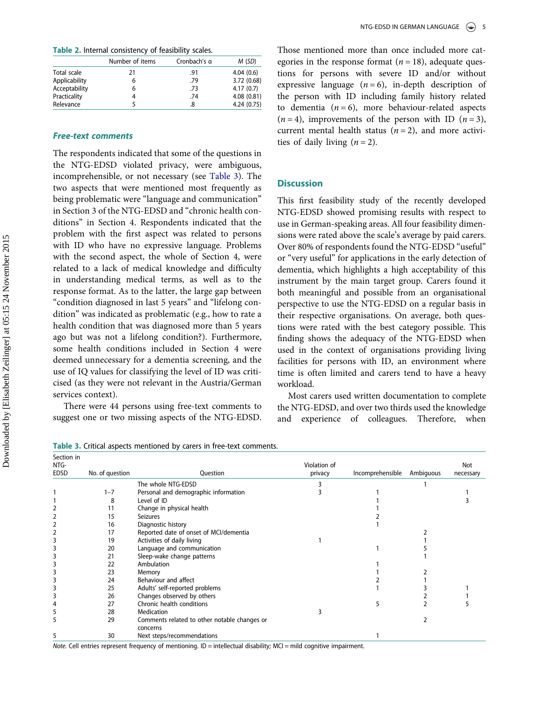<span id="page-5-0"></span>Table 2. Internal consistency of feasibility scales.

|               | Number of items | Cronbach's a | M(SD)       |
|---------------|-----------------|--------------|-------------|
| Total scale   | 21              | .91          | 4.04(0.6)   |
| Applicability | 6               | .79          | 3.72 (0.68) |
| Acceptability | 6               | .73          | 4.17(0.7)   |
| Practicality  |                 | .74          | 4.08(0.81)  |
| Relevance     |                 | 8.           | 4.24(0.75)  |

#### Free-text comments

The respondents indicated that some of the questions in the NTG-EDSD violated privacy, were ambiguous, incomprehensible, or not necessary (see Table 3). The two aspects that were mentioned most frequently as being problematic were "language and communication" in Section 3 of the NTG-EDSD and "chronic health conditions" in Section 4. Respondents indicated that the problem with the first aspect was related to persons with ID who have no expressive language. Problems with the second aspect, the whole of Section 4, were related to a lack of medical knowledge and difficulty in understanding medical terms, as well as to the response format. As to the latter, the large gap between "condition diagnosed in last 5 years" and "lifelong condition" was indicated as problematic (e.g., how to rate a health condition that was diagnosed more than 5 years ago but was not a lifelong condition?). Furthermore, some health conditions included in Section 4 were deemed unnecessary for a dementia screening, and the use of IQ values for classifying the level of ID was criticised (as they were not relevant in the Austria/German services context).

There were 44 persons using free-text comments to suggest one or two missing aspects of the NTG-EDSD.

Table 3. Critical aspects mentioned by carers in free-text comments.

Those mentioned more than once included more categories in the response format ( $n = 18$ ), adequate questions for persons with severe ID and/or without expressive language  $(n = 6)$ , in-depth description of the person with ID including family history related to dementia  $(n = 6)$ , more behaviour-related aspects  $(n = 4)$ , improvements of the person with ID  $(n = 3)$ , current mental health status  $(n = 2)$ , and more activities of daily living  $(n = 2)$ .

# **Discussion**

This first feasibility study of the recently developed NTG-EDSD showed promising results with respect to use in German-speaking areas. All four feasibility dimensions were rated above the scale's average by paid carers. Over 80% of respondents found the NTG-EDSD "useful" or "very useful" for applications in the early detection of dementia, which highlights a high acceptability of this instrument by the main target group. Carers found it both meaningful and possible from an organisational perspective to use the NTG-EDSD on a regular basis in their respective organisations. On average, both questions were rated with the best category possible. This finding shows the adequacy of the NTG-EDSD when used in the context of organisations providing living facilities for persons with ID, an environment where time is often limited and carers tend to have a heavy workload.

Most carers used written documentation to complete the NTG-EDSD, and over two thirds used the knowledge and experience of colleagues. Therefore, when

| Section in<br>NTG- |                 |                                              | Violation of |                  |           | Not       |
|--------------------|-----------------|----------------------------------------------|--------------|------------------|-----------|-----------|
| <b>EDSD</b>        | No. of question | <b>Ouestion</b>                              | privacy      | Incomprehensible | Ambiguous | necessary |
|                    |                 | The whole NTG-EDSD                           |              |                  |           |           |
|                    | $1 - 7$         | Personal and demographic information         |              |                  |           |           |
|                    | 8               | Level of ID                                  |              |                  |           |           |
|                    | 11              | Change in physical health                    |              |                  |           |           |
|                    | 15              | <b>Seizures</b>                              |              |                  |           |           |
|                    | 16              | Diagnostic history                           |              |                  |           |           |
|                    | 17              | Reported date of onset of MCI/dementia       |              |                  |           |           |
|                    | 19              | Activities of daily living                   |              |                  |           |           |
|                    | 20              | Language and communication                   |              |                  |           |           |
|                    | 21              | Sleep-wake change patterns                   |              |                  |           |           |
|                    | 22              | Ambulation                                   |              |                  |           |           |
|                    | 23              | Memory                                       |              |                  |           |           |
|                    | 24              | Behaviour and affect                         |              |                  |           |           |
|                    | 25              | Adults' self-reported problems               |              |                  |           |           |
|                    | 26              | Changes observed by others                   |              |                  |           |           |
|                    | 27              | Chronic health conditions                    |              |                  |           |           |
|                    | 28              | Medication                                   |              |                  |           |           |
|                    | 29              | Comments related to other notable changes or |              |                  |           |           |
|                    | 30              | concerns<br>Next steps/recommendations       |              |                  |           |           |

Note. Cell entries represent frequency of mentioning. ID = intellectual disability; MCI = mild cognitive impairment.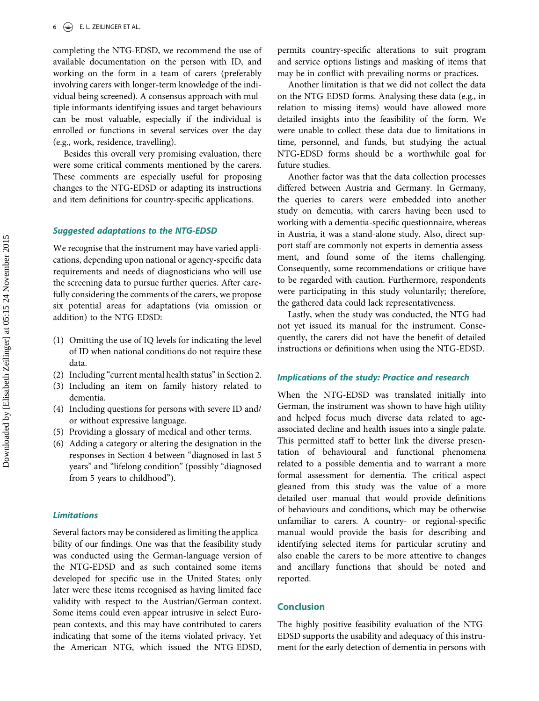completing the NTG-EDSD, we recommend the use of available documentation on the person with ID, and working on the form in a team of carers (preferably involving carers with longer-term knowledge of the individual being screened). A consensus approach with multiple informants identifying issues and target behaviours can be most valuable, especially if the individual is enrolled or functions in several services over the day (e.g., work, residence, travelling).

Besides this overall very promising evaluation, there were some critical comments mentioned by the carers. These comments are especially useful for proposing changes to the NTG-EDSD or adapting its instructions and item definitions for country-specific applications.

#### Suggested adaptations to the NTG-EDSD

We recognise that the instrument may have varied applications, depending upon national or agency-specific data requirements and needs of diagnosticians who will use the screening data to pursue further queries. After carefully considering the comments of the carers, we propose six potential areas for adaptations (via omission or addition) to the NTG-EDSD:

- (1) Omitting the use of IQ levels for indicating the level of ID when national conditions do not require these data.
- (2) Including "current mental health status"in Section 2.
- (3) Including an item on family history related to dementia.
- (4) Including questions for persons with severe ID and/ or without expressive language.
- (5) Providing a glossary of medical and other terms.
- (6) Adding a category or altering the designation in the responses in Section 4 between "diagnosed in last 5 years" and "lifelong condition" (possibly "diagnosed from 5 years to childhood").

#### Limitations

Several factors may be considered as limiting the applicability of our findings. One was that the feasibility study was conducted using the German-language version of the NTG-EDSD and as such contained some items developed for specific use in the United States; only later were these items recognised as having limited face validity with respect to the Austrian/German context. Some items could even appear intrusive in select European contexts, and this may have contributed to carers indicating that some of the items violated privacy. Yet the American NTG, which issued the NTG-EDSD,

permits country-specific alterations to suit program and service options listings and masking of items that may be in conflict with prevailing norms or practices.

Another limitation is that we did not collect the data on the NTG-EDSD forms. Analysing these data (e.g., in relation to missing items) would have allowed more detailed insights into the feasibility of the form. We were unable to collect these data due to limitations in time, personnel, and funds, but studying the actual NTG-EDSD forms should be a worthwhile goal for future studies.

Another factor was that the data collection processes differed between Austria and Germany. In Germany, the queries to carers were embedded into another study on dementia, with carers having been used to working with a dementia-specific questionnaire, whereas in Austria, it was a stand-alone study. Also, direct support staff are commonly not experts in dementia assessment, and found some of the items challenging. Consequently, some recommendations or critique have to be regarded with caution. Furthermore, respondents were participating in this study voluntarily; therefore, the gathered data could lack representativeness.

Lastly, when the study was conducted, the NTG had not yet issued its manual for the instrument. Consequently, the carers did not have the benefit of detailed instructions or definitions when using the NTG-EDSD.

#### Implications of the study: Practice and research

When the NTG-EDSD was translated initially into German, the instrument was shown to have high utility and helped focus much diverse data related to ageassociated decline and health issues into a single palate. This permitted staff to better link the diverse presentation of behavioural and functional phenomena related to a possible dementia and to warrant a more formal assessment for dementia. The critical aspect gleaned from this study was the value of a more detailed user manual that would provide definitions of behaviours and conditions, which may be otherwise unfamiliar to carers. A country- or regional-specific manual would provide the basis for describing and identifying selected items for particular scrutiny and also enable the carers to be more attentive to changes and ancillary functions that should be noted and reported.

#### Conclusion

The highly positive feasibility evaluation of the NTG-EDSD supports the usability and adequacy of this instrument for the early detection of dementia in persons with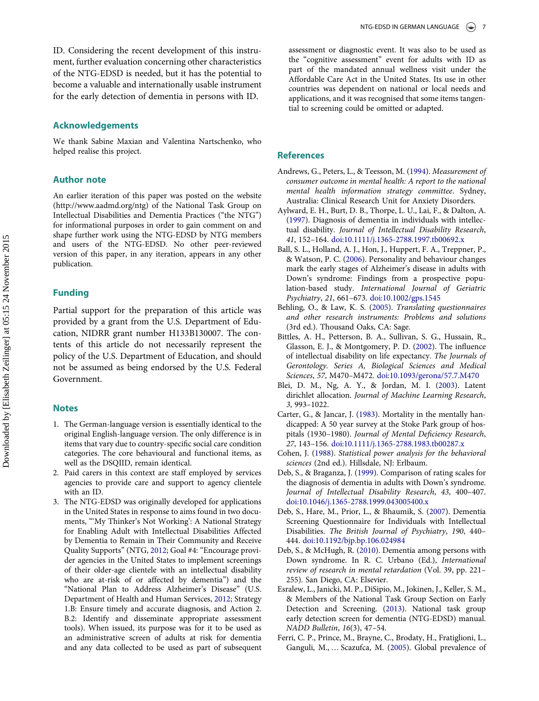#### <span id="page-7-0"></span>Acknowledgements

We thank Sabine Maxian and Valentina Nartschenko, who helped realise this project.

# Author note

An earlier iteration of this paper was posted on the website (http://www.aadmd.org/ntg) of the National Task Group on Intellectual Disabilities and Dementia Practices ("the NTG") for informational purposes in order to gain comment on and shape further work using the NTG-EDSD by NTG members and users of the NTG-EDSD. No other peer-reviewed version of this paper, in any iteration, appears in any other publication.

#### Funding

Partial support for the preparation of this article was provided by a grant from the U.S. Department of Education, NIDRR grant number H133B130007. The contents of this article do not necessarily represent the policy of the U.S. Department of Education, and should not be assumed as being endorsed by the U.S. Federal Government.

#### **Notes**

- 1. The German-language version is essentially identical to the original English-language version. The only difference is in items that vary due to country-specific social care condition categories. The core behavioural and functional items, as well as the DSQIID, remain identical.
- 2. Paid carers in this context are staff employed by services agencies to provide care and support to agency clientele with an ID.
- 3. The NTG-EDSD was originally developed for applications in the United States in response to aims found in two documents, "'My Thinker's Not Working': A National Strategy for Enabling Adult with Intellectual Disabilities Affected by Dementia to Remain in Their Community and Receive Quality Supports" (NTG, [2012](#page-8-0); Goal #4: "Encourage provider agencies in the United States to implement screenings of their older-age clientele with an intellectual disability who are at-risk of or affected by dementia") and the "National Plan to Address Alzheimer's Disease" (U.S. Department of Health and Human Services, [2012;](#page-8-0) Strategy 1.B: Ensure timely and accurate diagnosis, and Action 2. B.2: Identify and disseminate appropriate assessment tools). When issued, its purpose was for it to be used as an administrative screen of adults at risk for dementia and any data collected to be used as part of subsequent

assessment or diagnostic event. It was also to be used as the "cognitive assessment" event for adults with ID as part of the mandated annual wellness visit under the Affordable Care Act in the United States. Its use in other countries was dependent on national or local needs and applications, and it was recognised that some items tangential to screening could be omitted or adapted.

#### References

- Andrews, G., Peters, L., & Teesson, M. [\(1994](#page-2-0)). Measurement of consumer outcome in mental health: A report to the national mental health information strategy committee. Sydney, Australia: Clinical Research Unit for Anxiety Disorders.
- Aylward, E. H., Burt, D. B., Thorpe, L. U., Lai, F., & Dalton, A. ([1997](#page-2-0)). Diagnosis of dementia in individuals with intellectual disability. Journal of Intellectual Disability Research, 41, 152–164. [doi:10.1111/j.1365-2788.1997.tb00692.x](http://dx.doi.org/10.1111/j.1365-2788.1997.tb00692.x)
- Ball, S. L., Holland, A. J., Hon, J., Huppert, F. A., Treppner, P., & Watson, P. C. [\(2006](#page-1-0)). Personality and behaviour changes mark the early stages of Alzheimer's disease in adults with Down's syndrome: Findings from a prospective population-based study. International Journal of Geriatric Psychiatry, 21, 661–673. [doi:10.1002/gps.1545](http://dx.doi.org/10.1002/gps.1545)
- Behling, O., & Law, K. S. ([2005](#page-3-0)). Translating questionnaires and other research instruments: Problems and solutions (3rd ed.). Thousand Oaks, CA: Sage.
- Bittles, A. H., Petterson, B. A., Sullivan, S. G., Hussain, R., Glasson, E. J., & Montgomery, P. D. [\(2002](#page-1-0)). The influence of intellectual disability on life expectancy. The Journals of Gerontology. Series A, Biological Sciences and Medical Sciences, 57, M470–M472. [doi:10.1093/gerona/57.7.M470](http://dx.doi.org/10.1093/gerona/57.7.M470)
- Blei, D. M., Ng, A. Y., & Jordan, M. I. ([2003](#page-3-0)). Latent dirichlet allocation. Journal of Machine Learning Research, 3, 993–1022.
- Carter, G., & Jancar, J. ([1983](#page-1-0)). Mortality in the mentally handicapped: A 50 year survey at the Stoke Park group of hospitals (1930–1980). Journal of Mental Deficiency Research, 27, 143–156. [doi:10.1111/j.1365-2788.1983.tb00287.x](http://dx.doi.org/10.1111/j.1365-2788.1983.tb00287.x)
- Cohen, J. ([1988](#page-3-0)). Statistical power analysis for the behavioral sciences (2nd ed.). Hillsdale, NJ: Erlbaum.
- Deb, S., & Braganza, J. [\(1999\)](#page-1-0). Comparison of rating scales for the diagnosis of dementia in adults with Down's syndrome. Journal of Intellectual Disability Research, 43, 400–407. [doi:10.1046/j.1365-2788.1999.043005400.x](http://dx.doi.org/10.1046/j.1365-2788.1999.043005400.x)
- Deb, S., Hare, M., Prior, L., & Bhaumik, S. ([2007\)](#page-2-0). Dementia Screening Questionnaire for Individuals with Intellectual Disabilities. The British Journal of Psychiatry, 190, 440– 444. [doi:10.1192/bjp.bp.106.024984](http://dx.doi.org/10.1192/bjp.bp.106.024984)
- Deb, S., & McHugh, R. [\(2010\)](#page-2-0). Dementia among persons with Down syndrome. In R. C. Urbano (Ed.), International review of research in mental retardation (Vol. 39, pp. 221– 255). San Diego, CA: Elsevier.
- Esralew, L., Janicki, M. P., DiSipio, M., Jokinen, J., Keller, S. M., & Members of the National Task Group Section on Early Detection and Screening. [\(2013](#page-1-0)). National task group early detection screen for dementia (NTG-EDSD) manual. NADD Bulletin, 16(3), 47–54.
- Ferri, C. P., Prince, M., Brayne, C., Brodaty, H., Fratiglioni, L., Ganguli, M., … Scazufca, M. [\(2005\)](#page-1-0). Global prevalence of